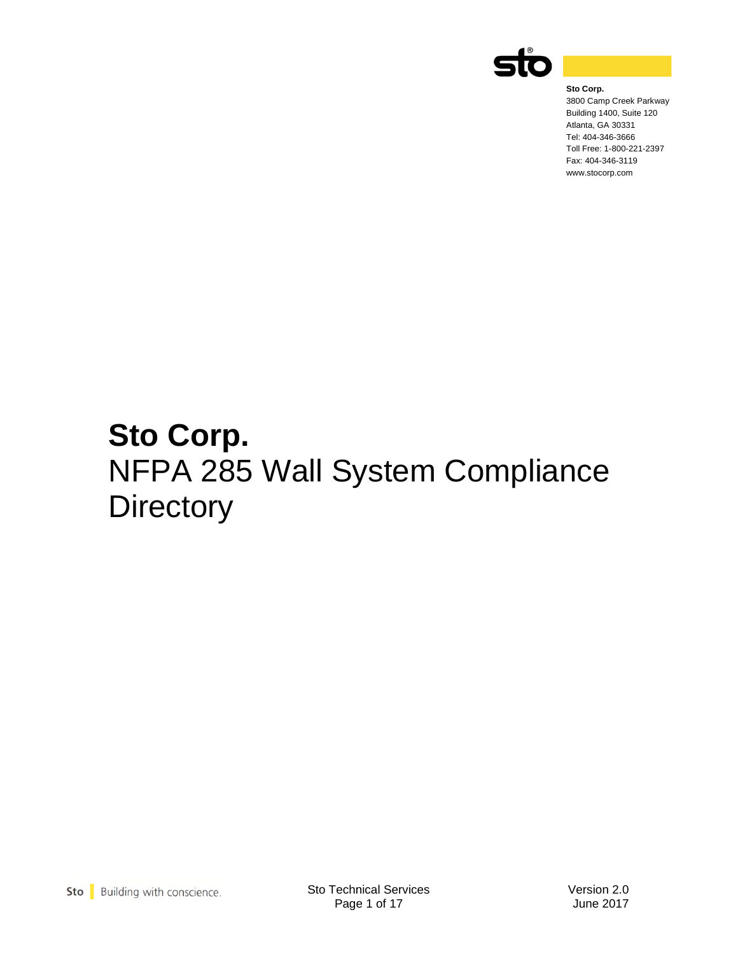

**Sto Corp.** 3800 Camp Creek Parkway Building 1400, Suite 120 Atlanta, GA 30331 Tel: 404-346-3666 Toll Free: 1-800-221-2397 Fax: 404-346-3119 www.stocorp.com

# **Sto Corp.**  NFPA 285 Wall System Compliance **Directory**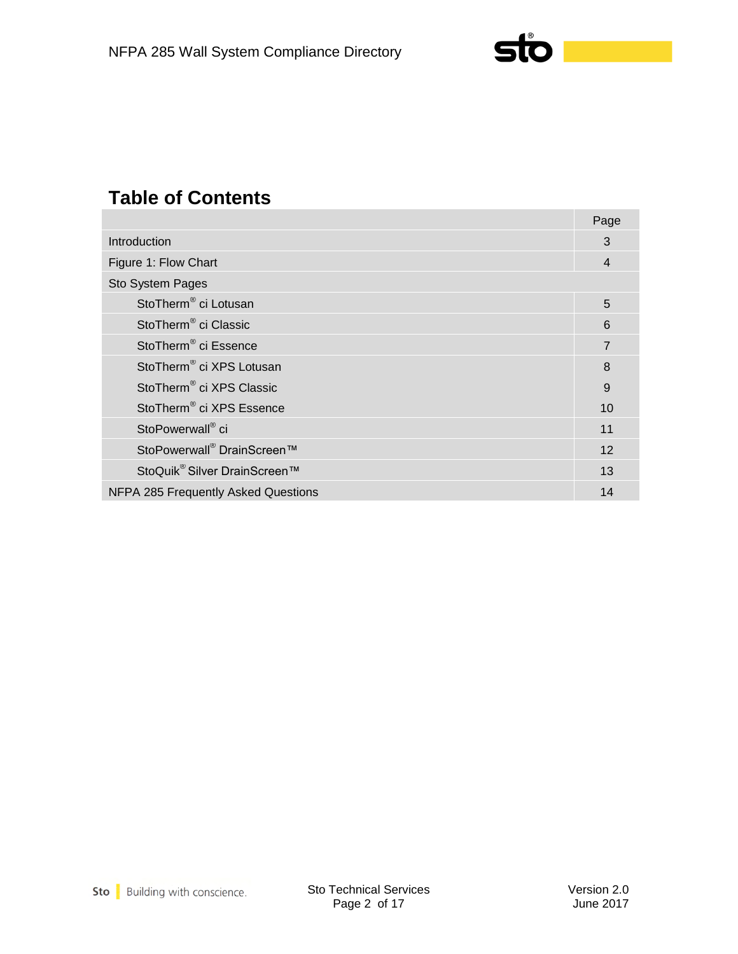

## **Table of Contents**

|                                          | Page           |
|------------------------------------------|----------------|
| Introduction                             | 3              |
| Figure 1: Flow Chart                     | 4              |
| Sto System Pages                         |                |
| StoTherm <sup>®</sup> ci Lotusan         | 5              |
| StoTherm <sup>®</sup> ci Classic         | 6              |
| StoTherm <sup>®</sup> ci Essence         | $\overline{7}$ |
| StoTherm <sup>®</sup> ci XPS Lotusan     | 8              |
| StoTherm <sup>®</sup> ci XPS Classic     | 9              |
| StoTherm <sup>®</sup> ci XPS Essence     | 10             |
| StoPowerwall® ci                         | 11             |
| StoPowerwall <sup>®</sup> DrainScreen™   | 12             |
| StoQuik <sup>®</sup> Silver DrainScreen™ | 13             |
| NFPA 285 Frequently Asked Questions      | 14             |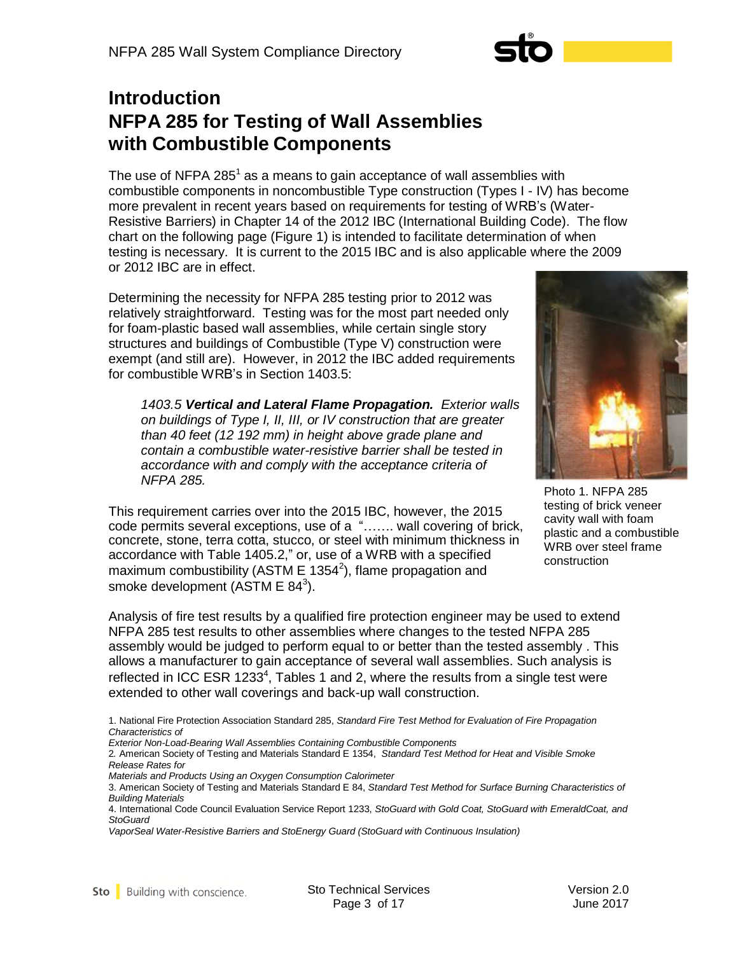## **Introduction NFPA 285 for Testing of Wall Assemblies with Combustible Components**

The use of NFPA 285 $^1$  as a means to gain acceptance of wall assemblies with combustible components in noncombustible Type construction (Types I - IV) has become more prevalent in recent years based on requirements for testing of WRB's (Water-Resistive Barriers) in Chapter 14 of the 2012 IBC (International Building Code). The flow chart on the following page (Figure 1) is intended to facilitate determination of when testing is necessary. It is current to the 2015 IBC and is also applicable where the 2009 or 2012 IBC are in effect.

Determining the necessity for NFPA 285 testing prior to 2012 was relatively straightforward. Testing was for the most part needed only for foam-plastic based wall assemblies, while certain single story structures and buildings of Combustible (Type V) construction were exempt (and still are). However, in 2012 the IBC added requirements for combustible WRB's in Section 1403.5:

*1403.5 Vertical and Lateral Flame Propagation. Exterior walls on buildings of Type I, II, III, or IV construction that are greater than 40 feet (12 192 mm) in height above grade plane and contain a combustible water-resistive barrier shall be tested in accordance with and comply with the acceptance criteria of NFPA 285.*

This requirement carries over into the 2015 IBC, however, the 2015 code permits several exceptions, use of a "……. wall covering of brick, concrete, stone, terra cotta, stucco, or steel with minimum thickness in accordance with Table 1405.2," or, use of a WRB with a specified maximum combustibility (ASTM E 1354<sup>2</sup>), flame propagation and smoke development (ASTM E  $84^3$ ).



Photo 1. NFPA 285 testing of brick veneer cavity wall with foam plastic and a combustible WRB over steel frame construction

Analysis of fire test results by a qualified fire protection engineer may be used to extend NFPA 285 test results to other assemblies where changes to the tested NFPA 285 assembly would be judged to perform equal to or better than the tested assembly . This allows a manufacturer to gain acceptance of several wall assemblies. Such analysis is reflected in ICC ESR 1233<sup>4</sup>, Tables 1 and 2, where the results from a single test were extended to other wall coverings and back-up wall construction.

- 1. National Fire Protection Association Standard 285, *Standard Fire Test Method for Evaluation of Fire Propagation Characteristics of*
- *Exterior Non-Load-Bearing Wall Assemblies Containing Combustible Components*

2*.* American Society of Testing and Materials Standard E 1354, *Standard Test Method for Heat and Visible Smoke Release Rates for*

*Materials and Products Using an Oxygen Consumption Calorimeter*

<sup>3.</sup> American Society of Testing and Materials Standard E 84, *Standard Test Method for Surface Burning Characteristics of Building Materials*

<sup>4.</sup> International Code Council Evaluation Service Report 1233, *StoGuard with Gold Coat, StoGuard with EmeraldCoat, and StoGuard*

*VaporSeal Water-Resistive Barriers and StoEnergy Guard (StoGuard with Continuous Insulation)*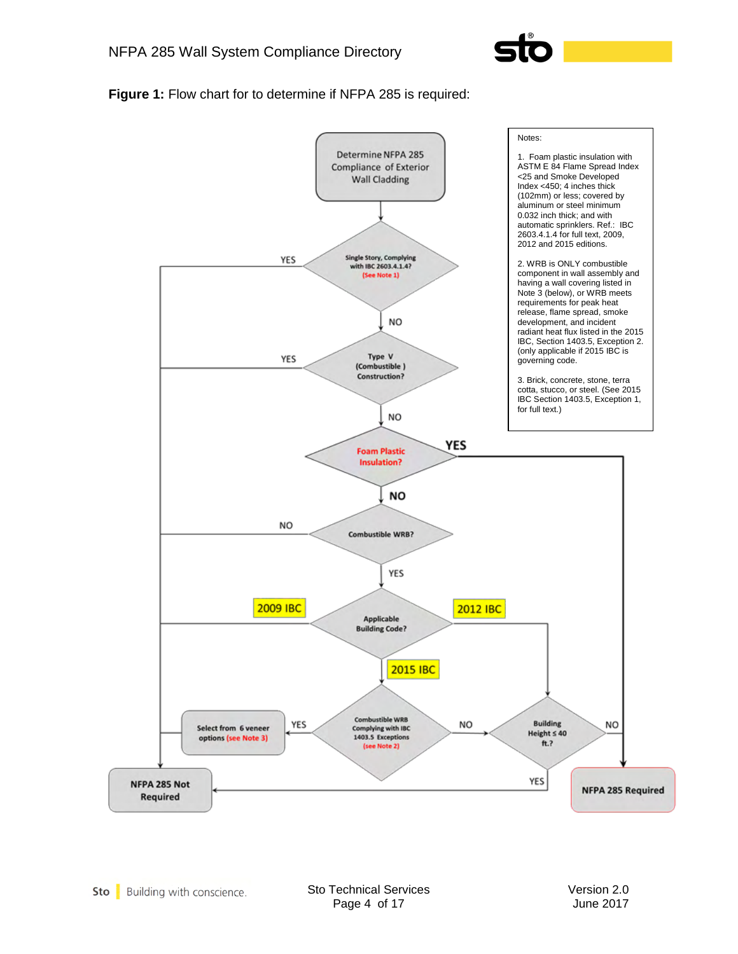

**Figure 1:** Flow chart for to determine if NFPA 285 is required:

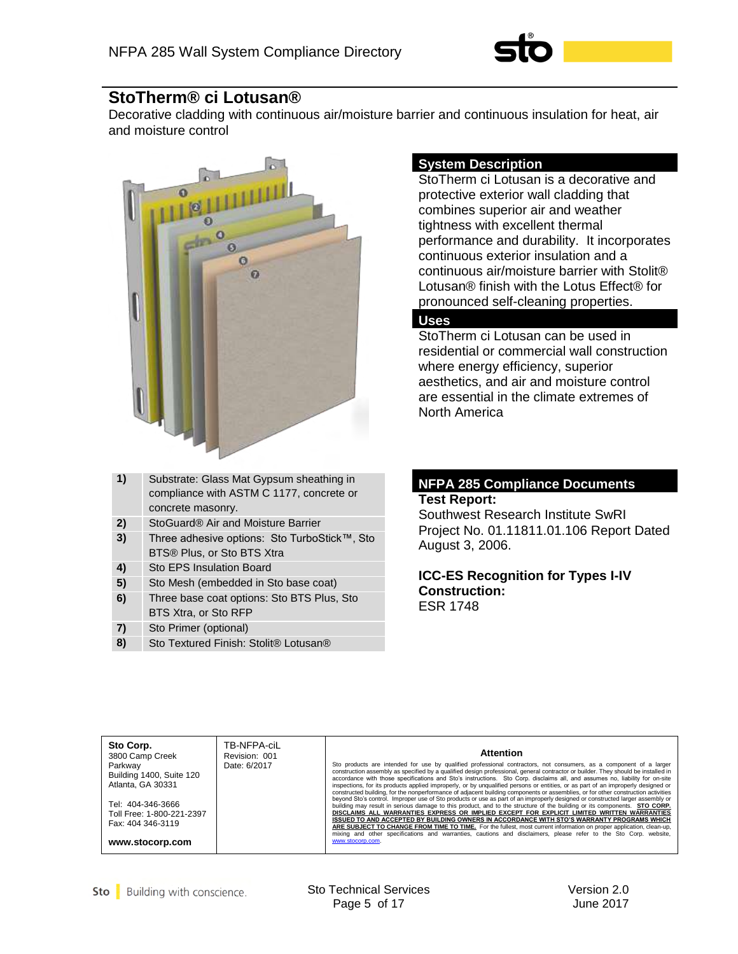

## **StoTherm® ci Lotusan®**

Decorative cladding with continuous air/moisture barrier and continuous insulation for heat, air and moisture control



| 1) | Substrate: Glass Mat Gypsum sheathing in<br>compliance with ASTM C 1177, concrete or<br>concrete masonry. |
|----|-----------------------------------------------------------------------------------------------------------|
| 2) | StoGuard® Air and Moisture Barrier                                                                        |
| 3) | Three adhesive options: Sto TurboStick™, Sto<br>BTS® Plus, or Sto BTS Xtra                                |
| 4) | Sto EPS Insulation Board                                                                                  |
| 5) | Sto Mesh (embedded in Sto base coat)                                                                      |
| 6) | Three base coat options: Sto BTS Plus, Sto<br>BTS Xtra, or Sto RFP                                        |
| 7) | Sto Primer (optional)                                                                                     |
| 8) | Sto Textured Finish: Stolit® Lotusan®                                                                     |

## **System Description**

StoTherm ci Lotusan is a decorative and protective exterior wall cladding that combines superior air and weather tightness with excellent thermal performance and durability. It incorporates continuous exterior insulation and a continuous air/moisture barrier with Stolit® Lotusan® finish with the Lotus Effect® for pronounced self-cleaning properties.

## **Uses**

StoTherm ci Lotusan can be used in residential or commercial wall construction where energy efficiency, superior aesthetics, and air and moisture control are essential in the climate extremes of North America

#### **NFPA 285 Compliance Documents Test Report:**

Southwest Research Institute SwRI Project No. 01.11811.01.106 Report Dated August 3, 2006.

#### **ICC-ES Recognition for Types I-IV Construction:** ESR 1748

| Sto Corp.<br>3800 Camp Creek<br>Parkway<br>Building 1400, Suite 120<br>Atlanta, GA 30331<br>Tel: 404-346-3666<br>Toll Free: 1-800-221-2397<br>Fax: 404 346-3119<br>www.stocorp.com | TB-NFPA-ciL<br>Revision: 001<br>Date: 6/2017 | <b>Attention</b><br>Sto products are intended for use by qualified professional contractors, not consumers, as a component of a larger<br>construction assembly as specified by a qualified design professional, general contractor or builder. They should be installed in<br>accordance with those specifications and Sto's instructions. Sto Corp. disclaims all, and assumes no, liability for on-site<br>inspections, for its products applied improperly, or by unqualified persons or entities, or as part of an improperly designed or<br>constructed building, for the nonperformance of adjacent building components or assemblies, or for other construction activities<br>beyond Sto's control. Improper use of Sto products or use as part of an improperly designed or constructed larger assembly or<br>building may result in serious damage to this product, and to the structure of the building or its components. STO CORP.<br>DISCLAIMS ALL WARRANTIES EXPRESS OR IMPLIED EXCEPT FOR EXPLICIT LIMITED WRITTEN WARRANTIES<br>ISSUED TO AND ACCEPTED BY BUILDING OWNERS IN ACCORDANCE WITH STO'S WARRANTY PROGRAMS WHICH<br>ARE SUBJECT TO CHANGE FROM TIME TO TIME. For the fullest, most current information on proper application, clean-up,<br>mixing and other specifications and warranties, cautions and disclaimers, please refer to the Sto Corp. website,<br>www.stocorp.com. |
|------------------------------------------------------------------------------------------------------------------------------------------------------------------------------------|----------------------------------------------|------------------------------------------------------------------------------------------------------------------------------------------------------------------------------------------------------------------------------------------------------------------------------------------------------------------------------------------------------------------------------------------------------------------------------------------------------------------------------------------------------------------------------------------------------------------------------------------------------------------------------------------------------------------------------------------------------------------------------------------------------------------------------------------------------------------------------------------------------------------------------------------------------------------------------------------------------------------------------------------------------------------------------------------------------------------------------------------------------------------------------------------------------------------------------------------------------------------------------------------------------------------------------------------------------------------------------------------------------------------------------------------------------------|
|------------------------------------------------------------------------------------------------------------------------------------------------------------------------------------|----------------------------------------------|------------------------------------------------------------------------------------------------------------------------------------------------------------------------------------------------------------------------------------------------------------------------------------------------------------------------------------------------------------------------------------------------------------------------------------------------------------------------------------------------------------------------------------------------------------------------------------------------------------------------------------------------------------------------------------------------------------------------------------------------------------------------------------------------------------------------------------------------------------------------------------------------------------------------------------------------------------------------------------------------------------------------------------------------------------------------------------------------------------------------------------------------------------------------------------------------------------------------------------------------------------------------------------------------------------------------------------------------------------------------------------------------------------|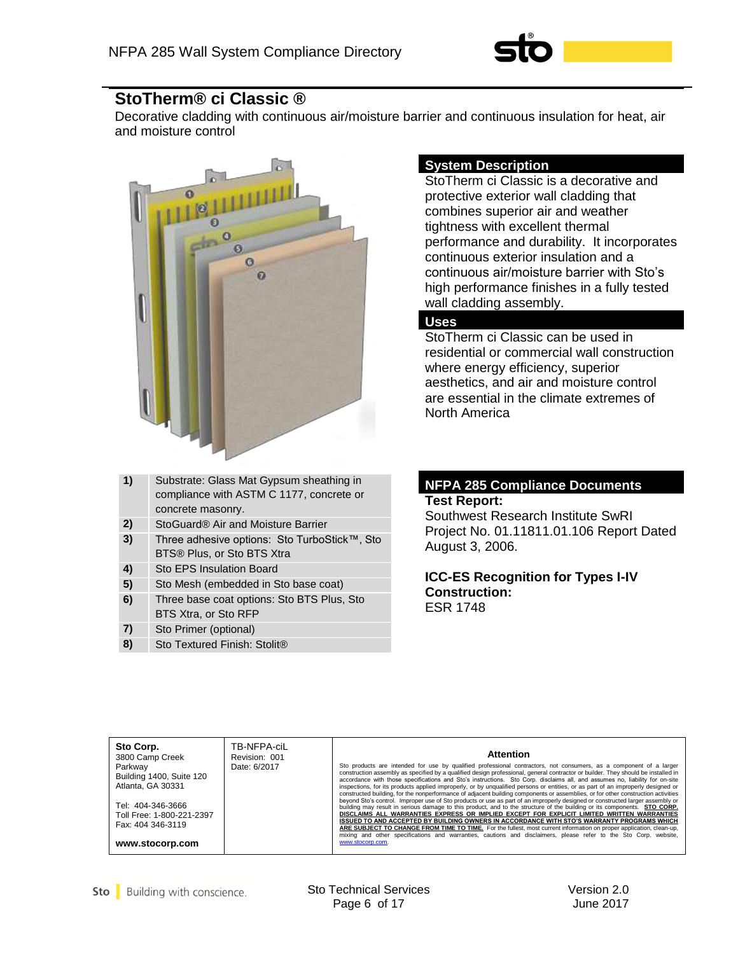

## **StoTherm® ci Classic ®**

Decorative cladding with continuous air/moisture barrier and continuous insulation for heat, air and moisture control



| 1) | Substrate: Glass Mat Gypsum sheathing in<br>compliance with ASTM C 1177, concrete or |
|----|--------------------------------------------------------------------------------------|
|    | concrete masonry.                                                                    |
| 2) | StoGuard® Air and Moisture Barrier                                                   |
| 3) | Three adhesive options: Sto TurboStick™, Sto                                         |
|    | BTS® Plus, or Sto BTS Xtra                                                           |
| 4) | Sto EPS Insulation Board                                                             |
| 5) | Sto Mesh (embedded in Sto base coat)                                                 |
| 6) | Three base coat options: Sto BTS Plus, Sto                                           |
|    | BTS Xtra, or Sto RFP                                                                 |
| 7) | Sto Primer (optional)                                                                |
| 8) | Sto Textured Finish: Stolit <sup>®</sup>                                             |

#### **System Description**

StoTherm ci Classic is a decorative and protective exterior wall cladding that combines superior air and weather tightness with excellent thermal performance and durability. It incorporates continuous exterior insulation and a continuous air/moisture barrier with Sto's high performance finishes in a fully tested wall cladding assembly.

#### **Uses**

StoTherm ci Classic can be used in residential or commercial wall construction where energy efficiency, superior aesthetics, and air and moisture control are essential in the climate extremes of North America

#### **NFPA 285 Compliance Documents Test Report:**

Southwest Research Institute SwRI Project No. 01.11811.01.106 Report Dated August 3, 2006.

**ICC-ES Recognition for Types I-IV Construction:** ESR 1748

| Sto Corp.<br>3800 Camp Creek<br>Parkway<br>Building 1400, Suite 120<br>Atlanta, GA 30331<br>Tel: 404-346-3666<br>Toll Free: 1-800-221-2397<br>Fax: 404 346-3119<br>www.stocorp.com | TB-NFPA-ciL<br>Revision: 001<br>Date: 6/2017 | <b>Attention</b><br>Sto products are intended for use by qualified professional contractors, not consumers, as a component of a larger<br>construction assembly as specified by a qualified design professional, general contractor or builder. They should be installed in<br>accordance with those specifications and Sto's instructions. Sto Corp. disclaims all, and assumes no, liability for on-site<br>inspections, for its products applied improperly, or by unqualified persons or entities, or as part of an improperly designed or<br>constructed building, for the nonperformance of adjacent building components or assemblies, or for other construction activities<br>beyond Sto's control. Improper use of Sto products or use as part of an improperly designed or constructed larger assembly or<br>building may result in serious damage to this product, and to the structure of the building or its components. STO CORP.<br>DISCLAIMS ALL WARRANTIES EXPRESS OR IMPLIED EXCEPT FOR EXPLICIT LIMITED WRITTEN WARRANTIES<br>ISSUED TO AND ACCEPTED BY BUILDING OWNERS IN ACCORDANCE WITH STO'S WARRANTY PROGRAMS WHICH<br>ARE SUBJECT TO CHANGE FROM TIME TO TIME. For the fullest, most current information on proper application, clean-up,<br>mixing and other specifications and warranties, cautions and disclaimers, please refer to the Sto Corp. website,<br>www.stocorp.com. |
|------------------------------------------------------------------------------------------------------------------------------------------------------------------------------------|----------------------------------------------|------------------------------------------------------------------------------------------------------------------------------------------------------------------------------------------------------------------------------------------------------------------------------------------------------------------------------------------------------------------------------------------------------------------------------------------------------------------------------------------------------------------------------------------------------------------------------------------------------------------------------------------------------------------------------------------------------------------------------------------------------------------------------------------------------------------------------------------------------------------------------------------------------------------------------------------------------------------------------------------------------------------------------------------------------------------------------------------------------------------------------------------------------------------------------------------------------------------------------------------------------------------------------------------------------------------------------------------------------------------------------------------------------------|
|------------------------------------------------------------------------------------------------------------------------------------------------------------------------------------|----------------------------------------------|------------------------------------------------------------------------------------------------------------------------------------------------------------------------------------------------------------------------------------------------------------------------------------------------------------------------------------------------------------------------------------------------------------------------------------------------------------------------------------------------------------------------------------------------------------------------------------------------------------------------------------------------------------------------------------------------------------------------------------------------------------------------------------------------------------------------------------------------------------------------------------------------------------------------------------------------------------------------------------------------------------------------------------------------------------------------------------------------------------------------------------------------------------------------------------------------------------------------------------------------------------------------------------------------------------------------------------------------------------------------------------------------------------|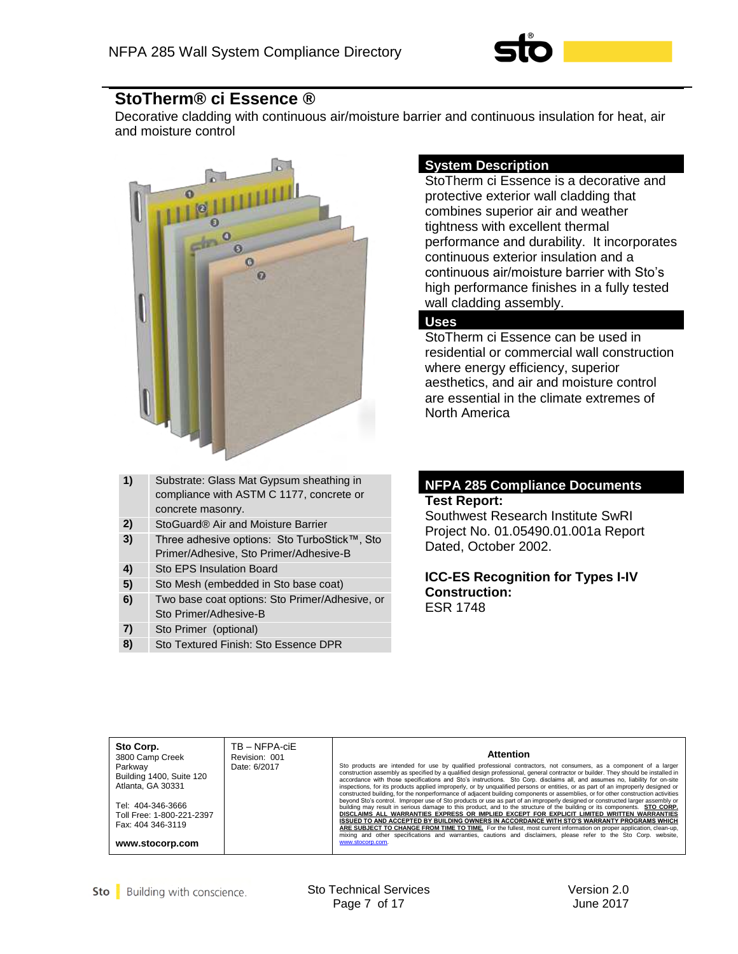

## **StoTherm® ci Essence ®**

Decorative cladding with continuous air/moisture barrier and continuous insulation for heat, air and moisture control



| 1) | Substrate: Glass Mat Gypsum sheathing in<br>compliance with ASTM C 1177, concrete or |
|----|--------------------------------------------------------------------------------------|
|    | concrete masonry.                                                                    |
| 2) | StoGuard <sup>®</sup> Air and Moisture Barrier                                       |
| 3) | Three adhesive options: Sto TurboStick™, Sto                                         |
|    | Primer/Adhesive, Sto Primer/Adhesive-B                                               |
| 4) | Sto EPS Insulation Board                                                             |
| 5) | Sto Mesh (embedded in Sto base coat)                                                 |
| 6) | Two base coat options: Sto Primer/Adhesive, or                                       |
|    | Sto Primer/Adhesive-B                                                                |
| 7) | Sto Primer (optional)                                                                |
| 8) | Sto Textured Finish: Sto Essence DPR                                                 |

## **System Description**

StoTherm ci Essence is a decorative and protective exterior wall cladding that combines superior air and weather tightness with excellent thermal performance and durability. It incorporates continuous exterior insulation and a continuous air/moisture barrier with Sto's high performance finishes in a fully tested wall cladding assembly.

#### **Uses**

StoTherm ci Essence can be used in residential or commercial wall construction where energy efficiency, superior aesthetics, and air and moisture control are essential in the climate extremes of North America

#### **NFPA 285 Compliance Documents Test Report:**

Southwest Research Institute SwRI Project No. 01.05490.01.001a Report Dated, October 2002.

**ICC-ES Recognition for Types I-IV Construction:** ESR 1748

| Sto Corp.<br>3800 Camp Creek<br>Parkway<br>Building 1400, Suite 120<br>Atlanta, GA 30331<br>Tel: 404-346-3666<br>Toll Free: 1-800-221-2397<br>Fax: 404 346-3119<br>www.stocorp.com | TB - NFPA-ciE<br>Revision: 001<br>Date: 6/2017 | <b>Attention</b><br>Sto products are intended for use by qualified professional contractors, not consumers, as a component of a larger<br>construction assembly as specified by a qualified design professional, general contractor or builder. They should be installed in<br>accordance with those specifications and Sto's instructions. Sto Corp. disclaims all, and assumes no, liability for on-site<br>inspections, for its products applied improperly, or by unqualified persons or entities, or as part of an improperly designed or<br>constructed building, for the nonperformance of adjacent building components or assemblies, or for other construction activities<br>beyond Sto's control. Improper use of Sto products or use as part of an improperly designed or constructed larger assembly or<br>building may result in serious damage to this product, and to the structure of the building or its components. STO CORP.<br>DISCLAIMS ALL WARRANTIES EXPRESS OR IMPLIED EXCEPT FOR EXPLICIT LIMITED WRITTEN WARRANTIES<br>ISSUED TO AND ACCEPTED BY BUILDING OWNERS IN ACCORDANCE WITH STO'S WARRANTY PROGRAMS WHICH<br>ARE SUBJECT TO CHANGE FROM TIME TO TIME. For the fullest, most current information on proper application, clean-up,<br>mixing and other specifications and warranties, cautions and disclaimers, please refer to the Sto Corp. website,<br>www.stocorp.com. |
|------------------------------------------------------------------------------------------------------------------------------------------------------------------------------------|------------------------------------------------|------------------------------------------------------------------------------------------------------------------------------------------------------------------------------------------------------------------------------------------------------------------------------------------------------------------------------------------------------------------------------------------------------------------------------------------------------------------------------------------------------------------------------------------------------------------------------------------------------------------------------------------------------------------------------------------------------------------------------------------------------------------------------------------------------------------------------------------------------------------------------------------------------------------------------------------------------------------------------------------------------------------------------------------------------------------------------------------------------------------------------------------------------------------------------------------------------------------------------------------------------------------------------------------------------------------------------------------------------------------------------------------------------------|
|------------------------------------------------------------------------------------------------------------------------------------------------------------------------------------|------------------------------------------------|------------------------------------------------------------------------------------------------------------------------------------------------------------------------------------------------------------------------------------------------------------------------------------------------------------------------------------------------------------------------------------------------------------------------------------------------------------------------------------------------------------------------------------------------------------------------------------------------------------------------------------------------------------------------------------------------------------------------------------------------------------------------------------------------------------------------------------------------------------------------------------------------------------------------------------------------------------------------------------------------------------------------------------------------------------------------------------------------------------------------------------------------------------------------------------------------------------------------------------------------------------------------------------------------------------------------------------------------------------------------------------------------------------|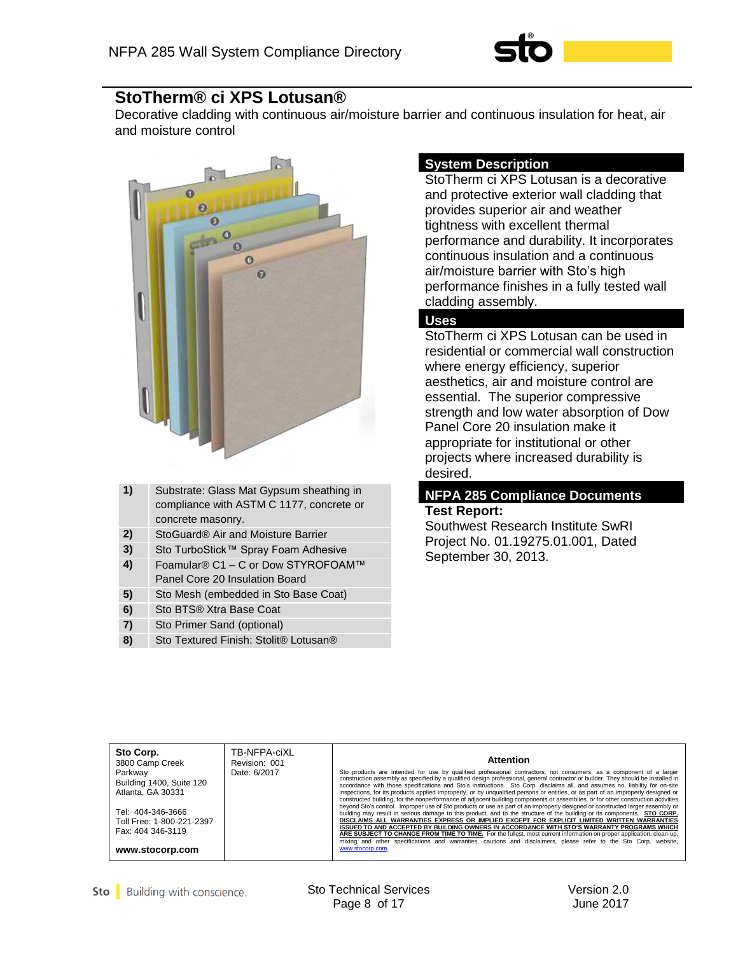

## **StoTherm® ci XPS Lotusan®**

Decorative cladding with continuous air/moisture barrier and continuous insulation for heat, air and moisture control



| 1) | Substrate: Glass Mat Gypsum sheathing in<br>compliance with ASTM C 1177, concrete or<br>concrete masonry. |
|----|-----------------------------------------------------------------------------------------------------------|
| 2) | StoGuard <sup>®</sup> Air and Moisture Barrier                                                            |
| 3) | Sto TurboStick™ Spray Foam Adhesive                                                                       |
| 4) | Foamular® C1 – C or Dow STYROFOAM™<br>Panel Core 20 Insulation Board                                      |
| 5) | Sto Mesh (embedded in Sto Base Coat)                                                                      |
| 6) | Sto BTS® Xtra Base Coat                                                                                   |
| 7) | Sto Primer Sand (optional)                                                                                |
| 8) | Sto Textured Finish: Stolit <sup>®</sup> Lotusan <sup>®</sup>                                             |

#### **System Description**

StoTherm ci XPS Lotusan is a decorative and protective exterior wall cladding that provides superior air and weather tightness with excellent thermal performance and durability. It incorporates continuous insulation and a continuous air/moisture barrier with Sto's high performance finishes in a fully tested wall cladding assembly.

## **Uses**

StoTherm ci XPS Lotusan can be used in residential or commercial wall construction where energy efficiency, superior aesthetics, air and moisture control are essential. The superior compressive strength and low water absorption of Dow Panel Core 20 insulation make it appropriate for institutional or other projects where increased durability is desired.

#### **NFPA 285 Compliance Documents Test Report:**

Southwest Research Institute SwRI Project No. 01.19275.01.001, Dated September 30, 2013.

| Sto Corp.<br>3800 Camp Creek<br>Parkway<br>Building 1400, Suite 120<br>Atlanta, GA 30331<br>Tel: 404-346-3666<br>Toll Free: 1-800-221-2397<br>Fax: 404 346-3119<br>www.stocorp.com | TB-NFPA-ciXL<br>Revision: 001<br>Date: 6/2017 | <b>Attention</b><br>Sto products are intended for use by qualified professional contractors, not consumers, as a component of a larger<br>construction assembly as specified by a qualified design professional, general contractor or builder. They should be installed in<br>accordance with those specifications and Sto's instructions. Sto Corp. disclaims all, and assumes no, liability for on-site<br>inspections, for its products applied improperly, or by unqualified persons or entities, or as part of an improperly designed or<br>constructed building, for the nonperformance of adjacent building components or assemblies, or for other construction activities<br>beyond Sto's control. Improper use of Sto products or use as part of an improperly designed or constructed larger assembly or<br>building may result in serious damage to this product, and to the structure of the building or its components. STO CORP.<br>DISCLAIMS ALL WARRANTIES EXPRESS OR IMPLIED EXCEPT FOR EXPLICIT LIMITED WRITTEN WARRANTIES<br>ISSUED TO AND ACCEPTED BY BUILDING OWNERS IN ACCORDANCE WITH STO'S WARRANTY PROGRAMS WHICH<br>ARE SUBJECT TO CHANGE FROM TIME TO TIME. For the fullest, most current information on proper application, clean-up,<br>mixing and other specifications and warranties, cautions and disclaimers, please refer to the Sto Corp. website,<br>www.stocorp.com. |
|------------------------------------------------------------------------------------------------------------------------------------------------------------------------------------|-----------------------------------------------|------------------------------------------------------------------------------------------------------------------------------------------------------------------------------------------------------------------------------------------------------------------------------------------------------------------------------------------------------------------------------------------------------------------------------------------------------------------------------------------------------------------------------------------------------------------------------------------------------------------------------------------------------------------------------------------------------------------------------------------------------------------------------------------------------------------------------------------------------------------------------------------------------------------------------------------------------------------------------------------------------------------------------------------------------------------------------------------------------------------------------------------------------------------------------------------------------------------------------------------------------------------------------------------------------------------------------------------------------------------------------------------------------------|
|------------------------------------------------------------------------------------------------------------------------------------------------------------------------------------|-----------------------------------------------|------------------------------------------------------------------------------------------------------------------------------------------------------------------------------------------------------------------------------------------------------------------------------------------------------------------------------------------------------------------------------------------------------------------------------------------------------------------------------------------------------------------------------------------------------------------------------------------------------------------------------------------------------------------------------------------------------------------------------------------------------------------------------------------------------------------------------------------------------------------------------------------------------------------------------------------------------------------------------------------------------------------------------------------------------------------------------------------------------------------------------------------------------------------------------------------------------------------------------------------------------------------------------------------------------------------------------------------------------------------------------------------------------------|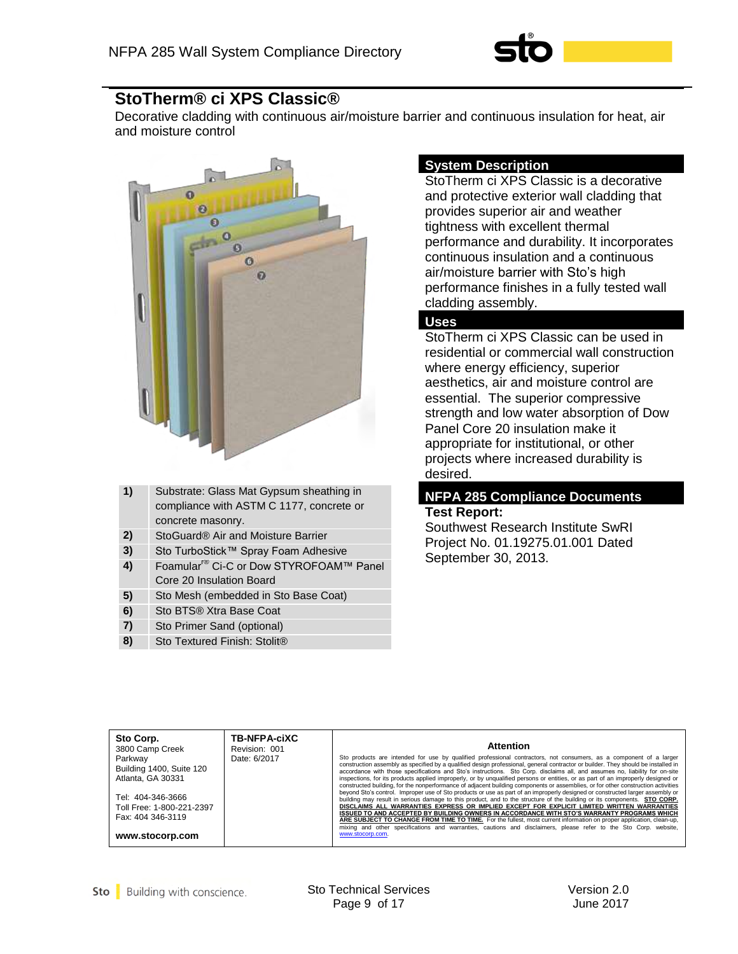

## **StoTherm® ci XPS Classic®**

Decorative cladding with continuous air/moisture barrier and continuous insulation for heat, air and moisture control



| 1) | Substrate: Glass Mat Gypsum sheathing in<br>compliance with ASTM C 1177, concrete or<br>concrete masonry. |
|----|-----------------------------------------------------------------------------------------------------------|
|    |                                                                                                           |
| 2) | StoGuard <sup>®</sup> Air and Moisture Barrier                                                            |
| 3) | Sto TurboStick™ Spray Foam Adhesive                                                                       |
| 4) | Foamular <sup>r®</sup> Ci-C or Dow STYROFOAM™ Panel<br>Core 20 Insulation Board                           |
| 5) | Sto Mesh (embedded in Sto Base Coat)                                                                      |
| 6) | Sto BTS® Xtra Base Coat                                                                                   |
| 7) | Sto Primer Sand (optional)                                                                                |
| 8) | Sto Textured Finish: Stolit <sup>®</sup>                                                                  |

## **System Description**

StoTherm ci XPS Classic is a decorative and protective exterior wall cladding that provides superior air and weather tightness with excellent thermal performance and durability. It incorporates continuous insulation and a continuous air/moisture barrier with Sto's high performance finishes in a fully tested wall cladding assembly.

## **Uses**

StoTherm ci XPS Classic can be used in residential or commercial wall construction where energy efficiency, superior aesthetics, air and moisture control are essential. The superior compressive strength and low water absorption of Dow Panel Core 20 insulation make it appropriate for institutional, or other projects where increased durability is desired.

#### **NFPA 285 Compliance Documents Test Report:**

Southwest Research Institute SwRI Project No. 01.19275.01.001 Dated September 30, 2013.

| Sto Corp.<br>3800 Camp Creek<br>Parkway<br>Building 1400, Suite 120<br>Atlanta, GA 30331<br>Tel: 404-346-3666<br>Toll Free: 1-800-221-2397<br>Fax: 404 346-3119<br>www.stocorp.com | <b>TB-NFPA-ciXC</b><br>Revision: 001<br>Date: 6/2017 | <b>Attention</b><br>Sto products are intended for use by qualified professional contractors, not consumers, as a component of a larger<br>construction assembly as specified by a qualified design professional, general contractor or builder. They should be installed in<br>accordance with those specifications and Sto's instructions. Sto Corp. disclaims all, and assumes no, liability for on-site<br>inspections, for its products applied improperly, or by unqualified persons or entities, or as part of an improperly designed or<br>constructed building, for the nonperformance of adjacent building components or assemblies, or for other construction activities<br>beyond Sto's control. Improper use of Sto products or use as part of an improperly designed or constructed larger assembly or<br>building may result in serious damage to this product, and to the structure of the building or its components. STO CORP.<br>DISCLAIMS ALL WARRANTIES EXPRESS OR IMPLIED EXCEPT FOR EXPLICIT LIMITED WRITTEN WARRANTIES<br>ISSUED TO AND ACCEPTED BY BUILDING OWNERS IN ACCORDANCE WITH STO'S WARRANTY PROGRAMS WHICH<br>ARE SUBJECT TO CHANGE FROM TIME TO TIME. For the fullest, most current information on proper application, clean-up,<br>mixing and other specifications and warranties, cautions and disclaimers, please refer to the Sto Corp. website,<br>www.stocorp.com. |
|------------------------------------------------------------------------------------------------------------------------------------------------------------------------------------|------------------------------------------------------|------------------------------------------------------------------------------------------------------------------------------------------------------------------------------------------------------------------------------------------------------------------------------------------------------------------------------------------------------------------------------------------------------------------------------------------------------------------------------------------------------------------------------------------------------------------------------------------------------------------------------------------------------------------------------------------------------------------------------------------------------------------------------------------------------------------------------------------------------------------------------------------------------------------------------------------------------------------------------------------------------------------------------------------------------------------------------------------------------------------------------------------------------------------------------------------------------------------------------------------------------------------------------------------------------------------------------------------------------------------------------------------------------------|
|------------------------------------------------------------------------------------------------------------------------------------------------------------------------------------|------------------------------------------------------|------------------------------------------------------------------------------------------------------------------------------------------------------------------------------------------------------------------------------------------------------------------------------------------------------------------------------------------------------------------------------------------------------------------------------------------------------------------------------------------------------------------------------------------------------------------------------------------------------------------------------------------------------------------------------------------------------------------------------------------------------------------------------------------------------------------------------------------------------------------------------------------------------------------------------------------------------------------------------------------------------------------------------------------------------------------------------------------------------------------------------------------------------------------------------------------------------------------------------------------------------------------------------------------------------------------------------------------------------------------------------------------------------------|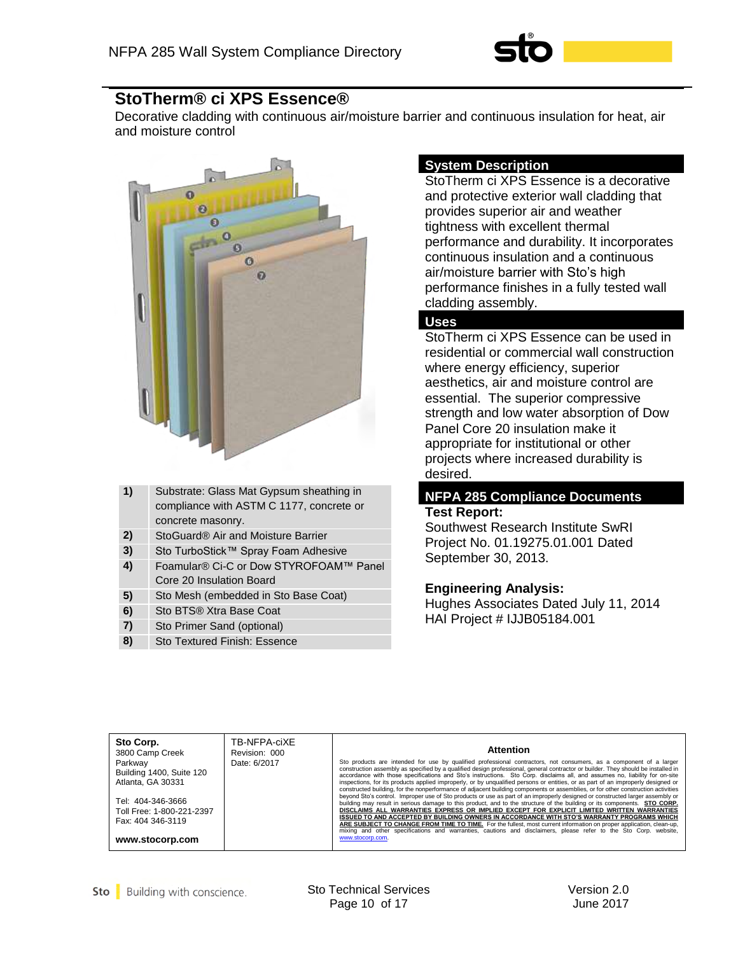

## **StoTherm® ci XPS Essence®**

Decorative cladding with continuous air/moisture barrier and continuous insulation for heat, air and moisture control



| 1) | Substrate: Glass Mat Gypsum sheathing in<br>compliance with ASTM C 1177, concrete or |
|----|--------------------------------------------------------------------------------------|
|    | concrete masonry.                                                                    |
| 2) | StoGuard® Air and Moisture Barrier                                                   |
| 3) | Sto TurboStick™ Spray Foam Adhesive                                                  |
| 4) | Foamular® Ci-C or Dow STYROFOAM™ Panel<br>Core 20 Insulation Board                   |
| 5) | Sto Mesh (embedded in Sto Base Coat)                                                 |
| 6) | Sto BTS® Xtra Base Coat                                                              |
| 7) | Sto Primer Sand (optional)                                                           |
| 8) | <b>Sto Textured Finish: Essence</b>                                                  |

## **System Description**

StoTherm ci XPS Essence is a decorative and protective exterior wall cladding that provides superior air and weather tightness with excellent thermal performance and durability. It incorporates continuous insulation and a continuous air/moisture barrier with Sto's high performance finishes in a fully tested wall cladding assembly.

## **Uses**

StoTherm ci XPS Essence can be used in residential or commercial wall construction where energy efficiency, superior aesthetics, air and moisture control are essential. The superior compressive strength and low water absorption of Dow Panel Core 20 insulation make it appropriate for institutional or other projects where increased durability is desired.

## **NFPA 285 Compliance Documents Test Report:**

Southwest Research Institute SwRI Project No. 01.19275.01.001 Dated September 30, 2013.

#### **Engineering Analysis:**

Hughes Associates Dated July 11, 2014 HAI Project # IJJB05184.001

| Sto Corp.<br>3800 Camp Creek                                        | TB-NFPA-ciXE<br>Revision: 000 | <b>Attention</b>                                                                                                                                                                                                                                                                                                                                                                                                                                                                                                                                                                                                                                                                                                                                                                                                                                                                                                                                                                                                                                                                                                                                                                                                                                                                                                                                                   |
|---------------------------------------------------------------------|-------------------------------|--------------------------------------------------------------------------------------------------------------------------------------------------------------------------------------------------------------------------------------------------------------------------------------------------------------------------------------------------------------------------------------------------------------------------------------------------------------------------------------------------------------------------------------------------------------------------------------------------------------------------------------------------------------------------------------------------------------------------------------------------------------------------------------------------------------------------------------------------------------------------------------------------------------------------------------------------------------------------------------------------------------------------------------------------------------------------------------------------------------------------------------------------------------------------------------------------------------------------------------------------------------------------------------------------------------------------------------------------------------------|
| Parkway<br>Building 1400, Suite 120<br>Atlanta, GA 30331            | Date: 6/2017                  | Sto products are intended for use by qualified professional contractors, not consumers, as a component of a larger<br>construction assembly as specified by a qualified design professional, general contractor or builder. They should be installed in<br>accordance with those specifications and Sto's instructions. Sto Corp. disclaims all, and assumes no, liability for on-site<br>inspections, for its products applied improperly, or by unqualified persons or entities, or as part of an improperly designed or<br>constructed building, for the nonperformance of adiacent building components or assemblies, or for other construction activities<br>beyond Sto's control. Improper use of Sto products or use as part of an improperly designed or constructed larger assembly or<br>building may result in serious damage to this product, and to the structure of the building or its components. STO CORP.<br>DISCLAIMS ALL WARRANTIES EXPRESS OR IMPLIED EXCEPT FOR EXPLICIT LIMITED WRITTEN WARRANTIES<br>ISSUED TO AND ACCEPTED BY BUILDING OWNERS IN ACCORDANCE WITH STO'S WARRANTY PROGRAMS WHICH<br>ARE SUBJECT TO CHANGE FROM TIME TO TIME. For the fullest, most current information on proper application, clean-up,<br>mixing and other specifications and warranties, cautions and disclaimers, please refer to the Sto Corp. website, |
| Tel: 404-346-3666<br>Toll Free: 1-800-221-2397<br>Fax: 404 346-3119 |                               |                                                                                                                                                                                                                                                                                                                                                                                                                                                                                                                                                                                                                                                                                                                                                                                                                                                                                                                                                                                                                                                                                                                                                                                                                                                                                                                                                                    |
| www.stocorp.com                                                     |                               | www.stocorp.com.                                                                                                                                                                                                                                                                                                                                                                                                                                                                                                                                                                                                                                                                                                                                                                                                                                                                                                                                                                                                                                                                                                                                                                                                                                                                                                                                                   |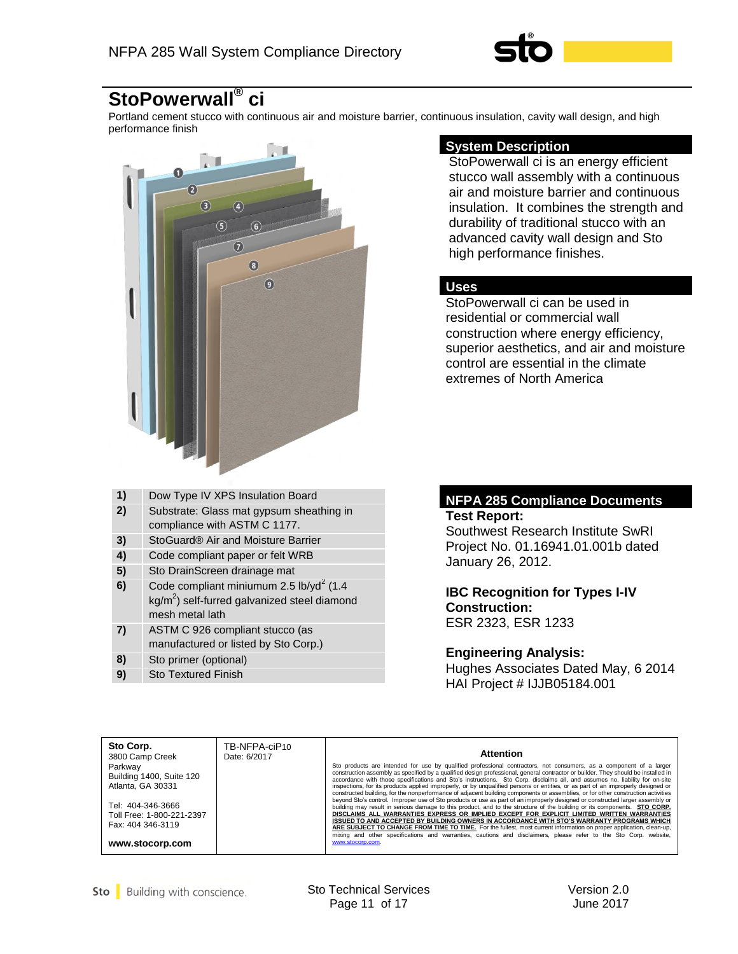

#### **StoPowerwall® ci**

Portland cement stucco with continuous air and moisture barrier, continuous insulation, cavity wall design, and high performance finish



#### **System Description**

StoPowerwall ci is an energy efficient stucco wall assembly with a continuous air and moisture barrier and continuous insulation. It combines the strength and durability of traditional stucco with an advanced cavity wall design and Sto high performance finishes.

#### **Uses**

StoPowerwall ci can be used in residential or commercial wall construction where energy efficiency, superior aesthetics, and air and moisture control are essential in the climate extremes of North America

| 1) | Dow Type IV XPS Insulation Board                                                                                                   |
|----|------------------------------------------------------------------------------------------------------------------------------------|
| 2) | Substrate: Glass mat gypsum sheathing in                                                                                           |
|    | compliance with ASTM C 1177.                                                                                                       |
| 3) | StoGuard® Air and Moisture Barrier                                                                                                 |
| 4) | Code compliant paper or felt WRB                                                                                                   |
| 5) | Sto DrainScreen drainage mat                                                                                                       |
| 6) | Code compliant miniumum 2.5 lb/yd <sup>2</sup> (1.4<br>kg/m <sup>2</sup> ) self-furred galvanized steel diamond<br>mesh metal lath |
| 7) | ASTM C 926 compliant stucco (as<br>manufactured or listed by Sto Corp.)                                                            |
| 8) | Sto primer (optional)                                                                                                              |

**9)** Sto Textured Finish

#### **NFPA 285 Compliance Documents Test Report:**

Southwest Research Institute SwRI Project No. 01.16941.01.001b dated January 26, 2012.

#### **IBC Recognition for Types I-IV Construction:**  ESR 2323, ESR 1233

#### **Engineering Analysis:**

Hughes Associates Dated May, 6 2014 HAI Project # IJJB05184.001

| Tel: 404-346-3666<br>Toll Free: 1-800-221-2397<br>Fax: 404 346-3119<br>www.stocorp.com.<br>www.stocorp.com | Sto Corp.<br>3800 Camp Creek<br>Parkway<br>Building 1400, Suite 120<br>Atlanta, GA 30331 | TB-NFPA-ciP10<br>Date: 6/2017 | <b>Attention</b><br>Sto products are intended for use by qualified professional contractors, not consumers, as a component of a larger<br>construction assembly as specified by a qualified design professional, general contractor or builder. They should be installed in<br>accordance with those specifications and Sto's instructions. Sto Corp. disclaims all, and assumes no, liability for on-site<br>inspections, for its products applied improperly, or by unqualified persons or entities, or as part of an improperly designed or<br>constructed building, for the nonperformance of adjacent building components or assemblies, or for other construction activities<br>beyond Sto's control. Improper use of Sto products or use as part of an improperly designed or constructed larger assembly or<br>building may result in serious damage to this product, and to the structure of the building or its components. STO CORP.<br>DISCLAIMS ALL WARRANTIES EXPRESS OR IMPLIED EXCEPT FOR EXPLICIT LIMITED WRITTEN WARRANTIES<br>ISSUED TO AND ACCEPTED BY BUILDING OWNERS IN ACCORDANCE WITH STO'S WARRANTY PROGRAMS WHICH<br>ARE SUBJECT TO CHANGE FROM TIME TO TIME. For the fullest, most current information on proper application, clean-up,<br>mixing and other specifications and warranties, cautions and disclaimers, please refer to the Sto Corp. website, |
|------------------------------------------------------------------------------------------------------------|------------------------------------------------------------------------------------------|-------------------------------|----------------------------------------------------------------------------------------------------------------------------------------------------------------------------------------------------------------------------------------------------------------------------------------------------------------------------------------------------------------------------------------------------------------------------------------------------------------------------------------------------------------------------------------------------------------------------------------------------------------------------------------------------------------------------------------------------------------------------------------------------------------------------------------------------------------------------------------------------------------------------------------------------------------------------------------------------------------------------------------------------------------------------------------------------------------------------------------------------------------------------------------------------------------------------------------------------------------------------------------------------------------------------------------------------------------------------------------------------------------------------------------|
|------------------------------------------------------------------------------------------------------------|------------------------------------------------------------------------------------------|-------------------------------|----------------------------------------------------------------------------------------------------------------------------------------------------------------------------------------------------------------------------------------------------------------------------------------------------------------------------------------------------------------------------------------------------------------------------------------------------------------------------------------------------------------------------------------------------------------------------------------------------------------------------------------------------------------------------------------------------------------------------------------------------------------------------------------------------------------------------------------------------------------------------------------------------------------------------------------------------------------------------------------------------------------------------------------------------------------------------------------------------------------------------------------------------------------------------------------------------------------------------------------------------------------------------------------------------------------------------------------------------------------------------------------|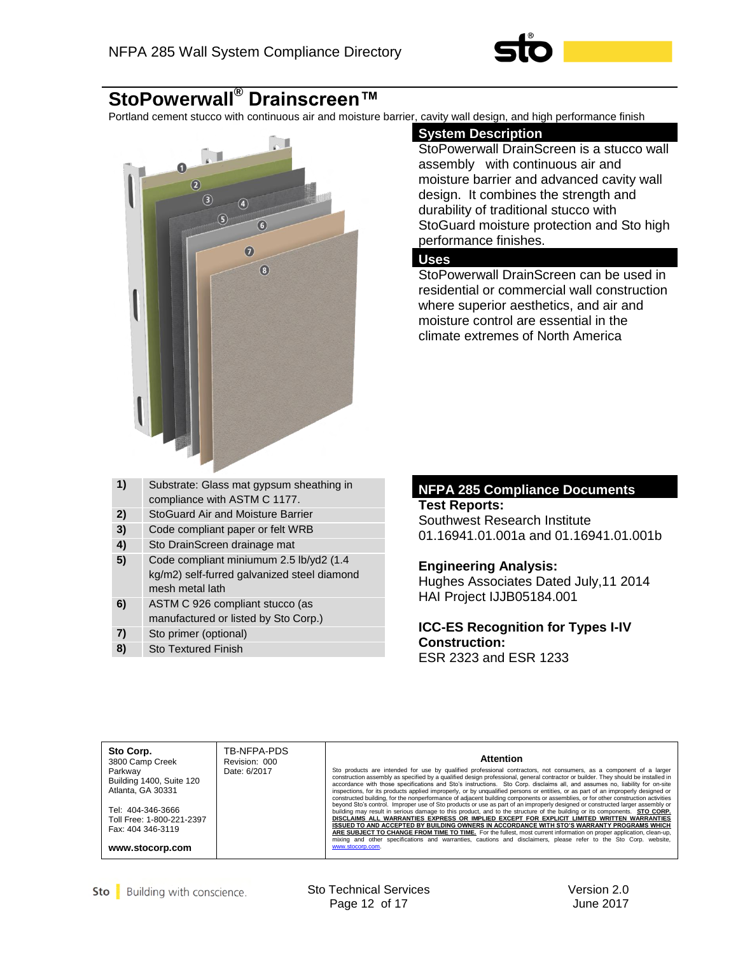

## **StoPowerwall® Drainscreen™**

Portland cement stucco with continuous air and moisture barrier, cavity wall design, and high performance finish



| 1) | Substrate: Glass mat gypsum sheathing in<br>compliance with ASTM C 1177.                                  |
|----|-----------------------------------------------------------------------------------------------------------|
| 2) | <b>StoGuard Air and Moisture Barrier</b>                                                                  |
| 3) | Code compliant paper or felt WRB                                                                          |
| 4) | Sto DrainScreen drainage mat                                                                              |
| 5) | Code compliant miniumum 2.5 lb/yd2 (1.4<br>kg/m2) self-furred galvanized steel diamond<br>mesh metal lath |
| 6) | ASTM C 926 compliant stucco (as<br>manufactured or listed by Sto Corp.)                                   |
| 71 | Sto primer (optional)                                                                                     |

#### **8)** Sto Textured Finish

#### **System Description**

StoPowerwall DrainScreen is a stucco wall assembly with continuous air and moisture barrier and advanced cavity wall design. It combines the strength and durability of traditional stucco with StoGuard moisture protection and Sto high performance finishes.

#### **Uses**

StoPowerwall DrainScreen can be used in residential or commercial wall construction where superior aesthetics, and air and moisture control are essential in the climate extremes of North America

#### **NFPA 285 Compliance Documents**

## **Test Reports:**

Southwest Research Institute 01.16941.01.001a and 01.16941.01.001b

#### **Engineering Analysis:**

Hughes Associates Dated July,11 2014 HAI Project IJJB05184.001

**ICC-ES Recognition for Types I-IV Construction:** ESR 2323 and ESR 1233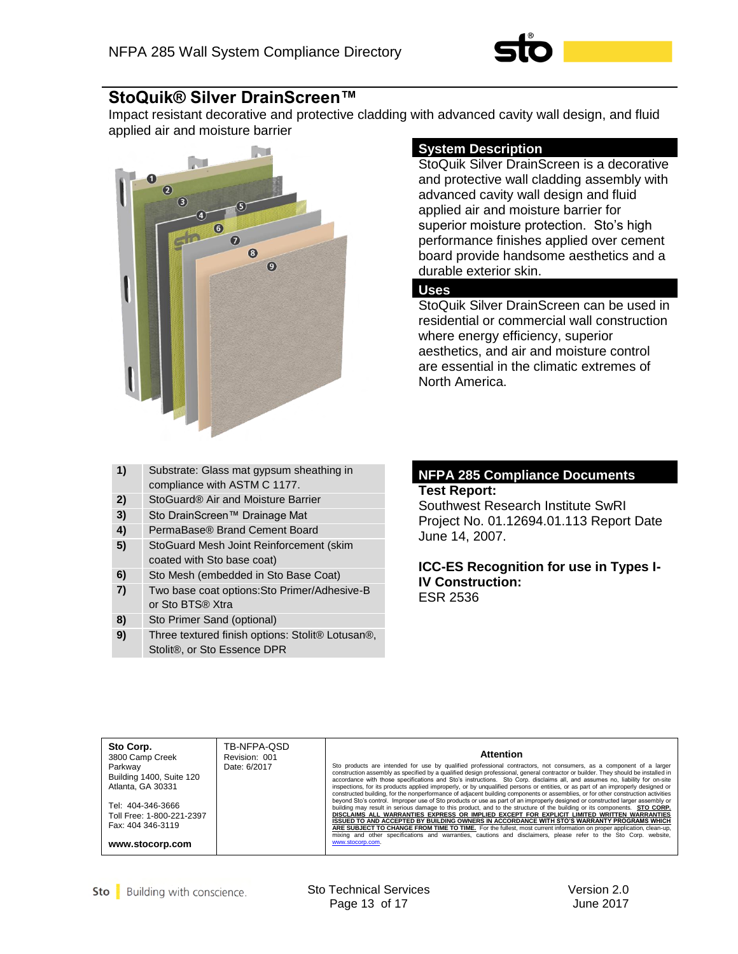

## **StoQuik® Silver DrainScreen™**

Impact resistant decorative and protective cladding with advanced cavity wall design, and fluid applied air and moisture barrier



## **System Description**

StoQuik Silver DrainScreen is a decorative and protective wall cladding assembly with advanced cavity wall design and fluid applied air and moisture barrier for superior moisture protection. Sto's high performance finishes applied over cement board provide handsome aesthetics and a durable exterior skin.

#### **Uses**

StoQuik Silver DrainScreen can be used in residential or commercial wall construction where energy efficiency, superior aesthetics, and air and moisture control are essential in the climatic extremes of North America.

| 1) | Substrate: Glass mat gypsum sheathing in<br>compliance with ASTM C 1177.        |
|----|---------------------------------------------------------------------------------|
| 2) | StoGuard® Air and Moisture Barrier                                              |
| 3) | Sto DrainScreen™ Drainage Mat                                                   |
| 4) | PermaBase® Brand Cement Board                                                   |
| 5) | StoGuard Mesh Joint Reinforcement (skim<br>coated with Sto base coat)           |
| 6) | Sto Mesh (embedded in Sto Base Coat)                                            |
| 7) | Two base coat options: Sto Primer/Adhesive-B<br>or Sto BTS® Xtra                |
| 8) | Sto Primer Sand (optional)                                                      |
| 9) | Three textured finish options: Stolit® Lotusan®,<br>Stolit®, or Sto Essence DPR |

#### **NFPA 285 Compliance Documents Test Report:**

Southwest Research Institute SwRI Project No. 01.12694.01.113 Report Date June 14, 2007.

**ICC-ES Recognition for use in Types I-IV Construction:** ESR 2536

| Sto Corp.<br>TB-NFPA-QSD<br>Revision: 001<br>3800 Camp Creek<br>Parkway<br>Date: 6/2017<br>Building 1400, Suite 120<br>Atlanta, GA 30331<br>Tel: 404-346-3666<br>Toll Free: 1-800-221-2397<br>Fax: 404 346-3119<br>www.stocorp.com | <b>Attention</b><br>Sto products are intended for use by qualified professional contractors, not consumers, as a component of a larger<br>construction assembly as specified by a qualified design professional, general contractor or builder. They should be installed in<br>accordance with those specifications and Sto's instructions. Sto Corp. disclaims all, and assumes no, liability for on-site<br>inspections, for its products applied improperly, or by unqualified persons or entities, or as part of an improperly designed or<br>constructed building, for the nonperformance of adjacent building components or assemblies, or for other construction activities<br>beyond Sto's control. Improper use of Sto products or use as part of an improperly designed or constructed larger assembly or<br>building may result in serious damage to this product, and to the structure of the building or its components. STO CORP.<br>DISCLAIMS ALL WARRANTIES EXPRESS OR IMPLIED EXCEPT FOR EXPLICIT LIMITED WRITTEN WARRANTIES<br>ISSUED TO AND ACCEPTED BY BUILDING OWNERS IN ACCORDANCE WITH STO'S WARRANTY PROGRAMS WHICH<br>ARE SUBJECT TO CHANGE FROM TIME TO TIME. For the fullest, most current information on proper application, clean-up,<br>mixing and other specifications and warranties, cautions and disclaimers, please refer to the Sto Corp. website,<br>www.stocorp.com. |
|------------------------------------------------------------------------------------------------------------------------------------------------------------------------------------------------------------------------------------|------------------------------------------------------------------------------------------------------------------------------------------------------------------------------------------------------------------------------------------------------------------------------------------------------------------------------------------------------------------------------------------------------------------------------------------------------------------------------------------------------------------------------------------------------------------------------------------------------------------------------------------------------------------------------------------------------------------------------------------------------------------------------------------------------------------------------------------------------------------------------------------------------------------------------------------------------------------------------------------------------------------------------------------------------------------------------------------------------------------------------------------------------------------------------------------------------------------------------------------------------------------------------------------------------------------------------------------------------------------------------------------------------------|
|------------------------------------------------------------------------------------------------------------------------------------------------------------------------------------------------------------------------------------|------------------------------------------------------------------------------------------------------------------------------------------------------------------------------------------------------------------------------------------------------------------------------------------------------------------------------------------------------------------------------------------------------------------------------------------------------------------------------------------------------------------------------------------------------------------------------------------------------------------------------------------------------------------------------------------------------------------------------------------------------------------------------------------------------------------------------------------------------------------------------------------------------------------------------------------------------------------------------------------------------------------------------------------------------------------------------------------------------------------------------------------------------------------------------------------------------------------------------------------------------------------------------------------------------------------------------------------------------------------------------------------------------------|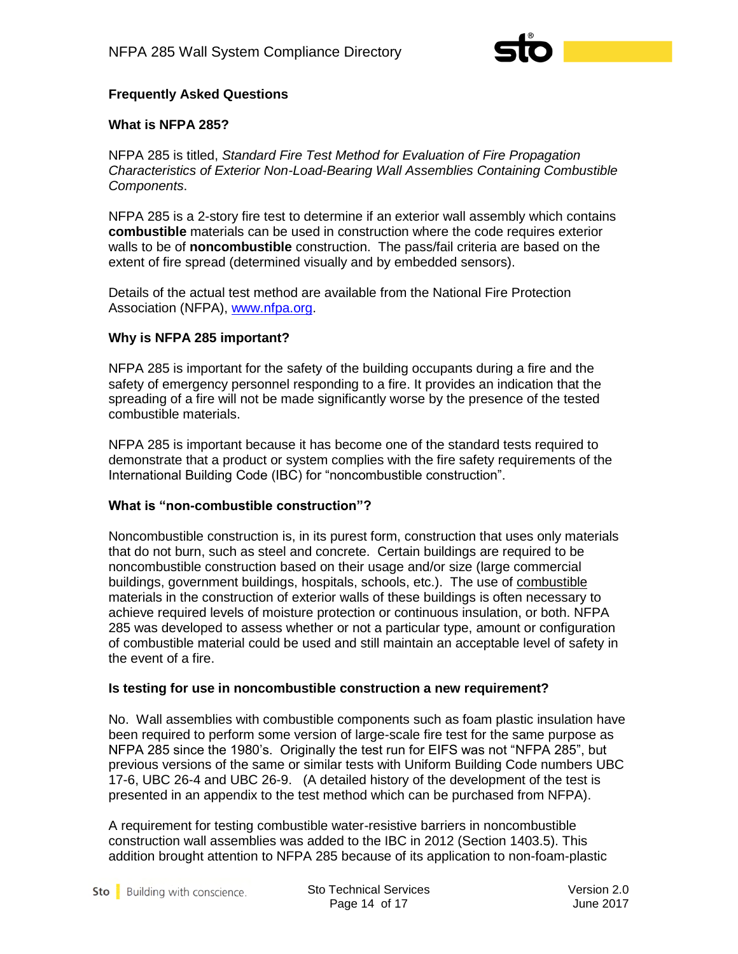

## **Frequently Asked Questions**

#### **What is NFPA 285?**

NFPA 285 is titled, *Standard Fire Test Method for Evaluation of Fire Propagation Characteristics of Exterior Non-Load-Bearing Wall Assemblies Containing Combustible Components*.

NFPA 285 is a 2-story fire test to determine if an exterior wall assembly which contains **combustible** materials can be used in construction where the code requires exterior walls to be of **noncombustible** construction. The pass/fail criteria are based on the extent of fire spread (determined visually and by embedded sensors).

Details of the actual test method are available from the National Fire Protection Association (NFPA), [www.nfpa.org.](http://www.nfpa.org/)

#### **Why is NFPA 285 important?**

NFPA 285 is important for the safety of the building occupants during a fire and the safety of emergency personnel responding to a fire. It provides an indication that the spreading of a fire will not be made significantly worse by the presence of the tested combustible materials.

NFPA 285 is important because it has become one of the standard tests required to demonstrate that a product or system complies with the fire safety requirements of the International Building Code (IBC) for "noncombustible construction".

#### **What is "non-combustible construction"?**

Noncombustible construction is, in its purest form, construction that uses only materials that do not burn, such as steel and concrete. Certain buildings are required to be noncombustible construction based on their usage and/or size (large commercial buildings, government buildings, hospitals, schools, etc.). The use of combustible materials in the construction of exterior walls of these buildings is often necessary to achieve required levels of moisture protection or continuous insulation, or both. NFPA 285 was developed to assess whether or not a particular type, amount or configuration of combustible material could be used and still maintain an acceptable level of safety in the event of a fire.

#### **Is testing for use in noncombustible construction a new requirement?**

No. Wall assemblies with combustible components such as foam plastic insulation have been required to perform some version of large-scale fire test for the same purpose as NFPA 285 since the 1980's. Originally the test run for EIFS was not "NFPA 285", but previous versions of the same or similar tests with Uniform Building Code numbers UBC 17-6, UBC 26-4 and UBC 26-9. (A detailed history of the development of the test is presented in an appendix to the test method which can be purchased from NFPA).

A requirement for testing combustible water-resistive barriers in noncombustible construction wall assemblies was added to the IBC in 2012 (Section 1403.5). This addition brought attention to NFPA 285 because of its application to non-foam-plastic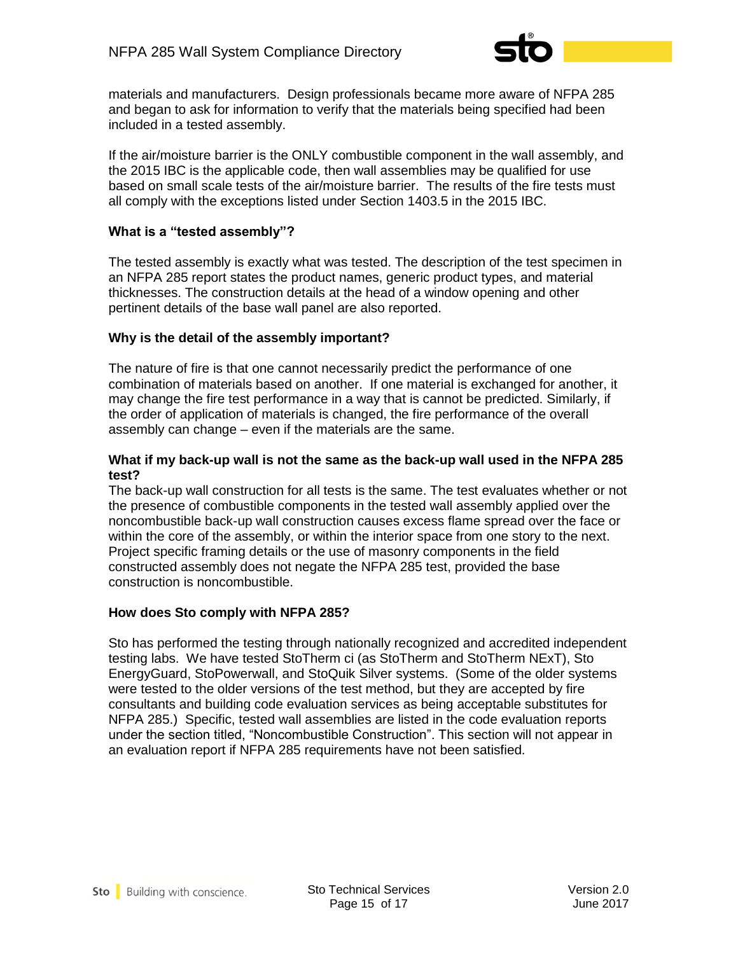

materials and manufacturers. Design professionals became more aware of NFPA 285 and began to ask for information to verify that the materials being specified had been included in a tested assembly.

If the air/moisture barrier is the ONLY combustible component in the wall assembly, and the 2015 IBC is the applicable code, then wall assemblies may be qualified for use based on small scale tests of the air/moisture barrier. The results of the fire tests must all comply with the exceptions listed under Section 1403.5 in the 2015 IBC.

## **What is a "tested assembly"?**

The tested assembly is exactly what was tested. The description of the test specimen in an NFPA 285 report states the product names, generic product types, and material thicknesses. The construction details at the head of a window opening and other pertinent details of the base wall panel are also reported.

## **Why is the detail of the assembly important?**

The nature of fire is that one cannot necessarily predict the performance of one combination of materials based on another. If one material is exchanged for another, it may change the fire test performance in a way that is cannot be predicted. Similarly, if the order of application of materials is changed, the fire performance of the overall assembly can change – even if the materials are the same.

#### **What if my back-up wall is not the same as the back-up wall used in the NFPA 285 test?**

The back-up wall construction for all tests is the same. The test evaluates whether or not the presence of combustible components in the tested wall assembly applied over the noncombustible back-up wall construction causes excess flame spread over the face or within the core of the assembly, or within the interior space from one story to the next. Project specific framing details or the use of masonry components in the field constructed assembly does not negate the NFPA 285 test, provided the base construction is noncombustible.

#### **How does Sto comply with NFPA 285?**

Sto has performed the testing through nationally recognized and accredited independent testing labs. We have tested StoTherm ci (as StoTherm and StoTherm NExT), Sto EnergyGuard, StoPowerwall, and StoQuik Silver systems. (Some of the older systems were tested to the older versions of the test method, but they are accepted by fire consultants and building code evaluation services as being acceptable substitutes for NFPA 285.) Specific, tested wall assemblies are listed in the code evaluation reports under the section titled, "Noncombustible Construction". This section will not appear in an evaluation report if NFPA 285 requirements have not been satisfied.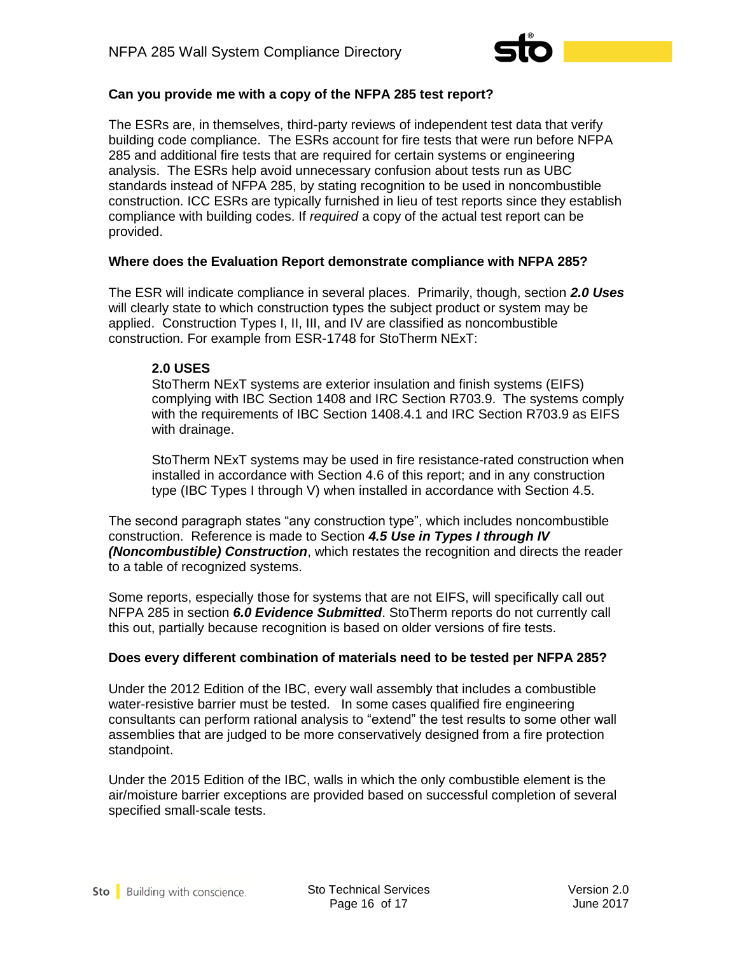

## **Can you provide me with a copy of the NFPA 285 test report?**

The ESRs are, in themselves, third-party reviews of independent test data that verify building code compliance. The ESRs account for fire tests that were run before NFPA 285 and additional fire tests that are required for certain systems or engineering analysis. The ESRs help avoid unnecessary confusion about tests run as UBC standards instead of NFPA 285, by stating recognition to be used in noncombustible construction. ICC ESRs are typically furnished in lieu of test reports since they establish compliance with building codes. If *required* a copy of the actual test report can be provided.

#### **Where does the Evaluation Report demonstrate compliance with NFPA 285?**

The ESR will indicate compliance in several places. Primarily, though, section *2.0 Uses* will clearly state to which construction types the subject product or system may be applied. Construction Types I, II, III, and IV are classified as noncombustible construction. For example from ESR-1748 for StoTherm NExT:

#### **2.0 USES**

 StoTherm NExT systems are exterior insulation and finish systems (EIFS) complying with IBC Section 1408 and IRC Section R703.9. The systems comply with the requirements of IBC Section 1408.4.1 and IRC Section R703.9 as EIFS with drainage.

 StoTherm NExT systems may be used in fire resistance-rated construction when installed in accordance with Section 4.6 of this report; and in any construction type (IBC Types I through V) when installed in accordance with Section 4.5.

The second paragraph states "any construction type", which includes noncombustible construction. Reference is made to Section *4.5 Use in Types I through IV (Noncombustible) Construction*, which restates the recognition and directs the reader to a table of recognized systems.

Some reports, especially those for systems that are not EIFS, will specifically call out NFPA 285 in section *6.0 Evidence Submitted*. StoTherm reports do not currently call this out, partially because recognition is based on older versions of fire tests.

#### **Does every different combination of materials need to be tested per NFPA 285?**

Under the 2012 Edition of the IBC, every wall assembly that includes a combustible water-resistive barrier must be tested. In some cases qualified fire engineering consultants can perform rational analysis to "extend" the test results to some other wall assemblies that are judged to be more conservatively designed from a fire protection standpoint.

Under the 2015 Edition of the IBC, walls in which the only combustible element is the air/moisture barrier exceptions are provided based on successful completion of several specified small-scale tests.